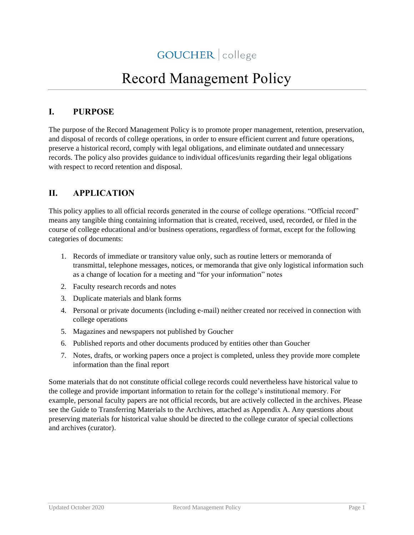# Record Management Policy

### **I. PURPOSE**

The purpose of the Record Management Policy is to promote proper management, retention, preservation, and disposal of records of college operations, in order to ensure efficient current and future operations, preserve a historical record, comply with legal obligations, and eliminate outdated and unnecessary records. The policy also provides guidance to individual offices/units regarding their legal obligations with respect to record retention and disposal.

### **II. APPLICATION**

This policy applies to all official records generated in the course of college operations. "Official record" means any tangible thing containing information that is created, received, used, recorded, or filed in the course of college educational and/or business operations, regardless of format, except for the following categories of documents:

- 1. Records of immediate or transitory value only, such as routine letters or memoranda of transmittal, telephone messages, notices, or memoranda that give only logistical information such as a change of location for a meeting and "for your information" notes
- 2. Faculty research records and notes
- 3. Duplicate materials and blank forms
- 4. Personal or private documents (including e-mail) neither created nor received in connection with college operations
- 5. Magazines and newspapers not published by Goucher
- 6. Published reports and other documents produced by entities other than Goucher
- 7. Notes, drafts, or working papers once a project is completed, unless they provide more complete information than the final report

Some materials that do not constitute official college records could nevertheless have historical value to the college and provide important information to retain for the college's institutional memory. For example, personal faculty papers are not official records, but are actively collected in the archives. Please see the Guide to Transferring Materials to the Archives, attached as Appendix A. Any questions about preserving materials for historical value should be directed to the college curator of special collections and archives (curator).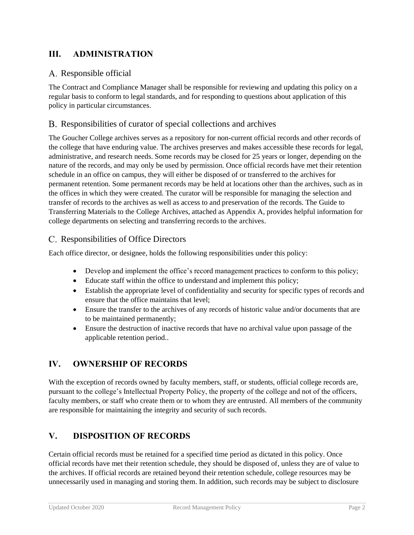### **III. ADMINISTRATION**

#### A. Responsible official

The Contract and Compliance Manager shall be responsible for reviewing and updating this policy on a regular basis to conform to legal standards, and for responding to questions about application of this policy in particular circumstances.

#### Responsibilities of curator of special collections and archives

The Goucher College archives serves as a repository for non-current official records and other records of the college that have enduring value. The archives preserves and makes accessible these records for legal, administrative, and research needs. Some records may be closed for 25 years or longer, depending on the nature of the records, and may only be used by permission. Once official records have met their retention schedule in an office on campus, they will either be disposed of or transferred to the archives for permanent retention. Some permanent records may be held at locations other than the archives, such as in the offices in which they were created. The curator will be responsible for managing the selection and transfer of records to the archives as well as access to and preservation of the records. The Guide to Transferring Materials to the College Archives, attached as Appendix A, provides helpful information for college departments on selecting and transferring records to the archives.

#### Responsibilities of Office Directors

Each office director, or designee, holds the following responsibilities under this policy:

- Develop and implement the office's record management practices to conform to this policy;
- Educate staff within the office to understand and implement this policy;
- Establish the appropriate level of confidentiality and security for specific types of records and ensure that the office maintains that level;
- Ensure the transfer to the archives of any records of historic value and/or documents that are to be maintained permanently;
- Ensure the destruction of inactive records that have no archival value upon passage of the applicable retention period..

### **IV. OWNERSHIP OF RECORDS**

With the exception of records owned by faculty members, staff, or students, official college records are, pursuant to the college's Intellectual Property Policy, the property of the college and not of the officers, faculty members, or staff who create them or to whom they are entrusted. All members of the community are responsible for maintaining the integrity and security of such records.

### **V. DISPOSITION OF RECORDS**

Certain official records must be retained for a specified time period as dictated in this policy. Once official records have met their retention schedule, they should be disposed of, unless they are of value to the archives. If official records are retained beyond their retention schedule, college resources may be unnecessarily used in managing and storing them. In addition, such records may be subject to disclosure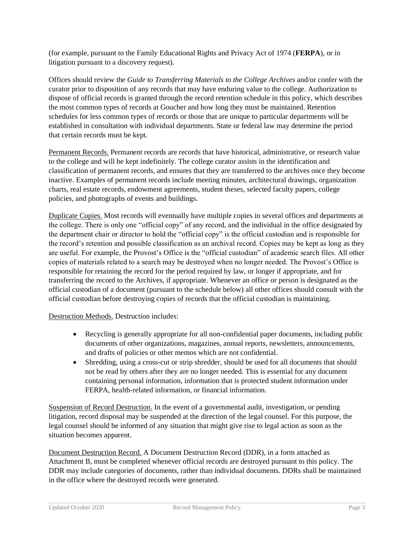(for example, pursuant to the Family Educational Rights and Privacy Act of 1974 (**FERPA**), or in litigation pursuant to a discovery request).

Offices should review the *Guide to Transferring Materials to the College Archives* and/or confer with the curator prior to disposition of any records that may have enduring value to the college. Authorization to dispose of official records is granted through the record retention schedule in this policy, which describes the most common types of records at Goucher and how long they must be maintained. Retention schedules for less common types of records or those that are unique to particular departments will be established in consultation with individual departments. State or federal law may determine the period that certain records must be kept.

Permanent Records. Permanent records are records that have historical, administrative, or research value to the college and will be kept indefinitely. The college curator assists in the identification and classification of permanent records, and ensures that they are transferred to the archives once they become inactive. Examples of permanent records include meeting minutes, architectural drawings, organization charts, real estate records, endowment agreements, student theses, selected faculty papers, college policies, and photographs of events and buildings.

Duplicate Copies. Most records will eventually have multiple copies in several offices and departments at the college. There is only one "official copy" of any record, and the individual in the office designated by the department chair or director to hold the "official copy" is the official custodian and is responsible for the record's retention and possible classification as an archival record. Copies may be kept as long as they are useful. For example, the Provost's Office is the "official custodian" of academic search files. All other copies of materials related to a search may be destroyed when no longer needed. The Provost's Office is responsible for retaining the record for the period required by law, or longer if appropriate, and for transferring the record to the Archives, if appropriate. Whenever an office or person is designated as the official custodian of a document (pursuant to the schedule below) all other offices should consult with the official custodian before destroying copies of records that the official custodian is maintaining.

Destruction Methods. Destruction includes:

- Recycling is generally appropriate for all non-confidential paper documents, including public documents of other organizations, magazines, annual reports, newsletters, announcements, and drafts of policies or other memos which are not confidential.
- Shredding, using a cross-cut or strip shredder, should be used for all documents that should not be read by others after they are no longer needed. This is essential for any document containing personal information, information that is protected student information under FERPA, health-related information, or financial information.

Suspension of Record Destruction. In the event of a governmental audit, investigation, or pending litigation, record disposal may be suspended at the direction of the legal counsel. For this purpose, the legal counsel should be informed of any situation that might give rise to legal action as soon as the situation becomes apparent.

Document Destruction Record. A Document Destruction Record (DDR), in a form attached as Attachment B, must be completed whenever official records are destroyed pursuant to this policy. The DDR may include categories of documents, rather than individual documents. DDRs shall be maintained in the office where the destroyed records were generated.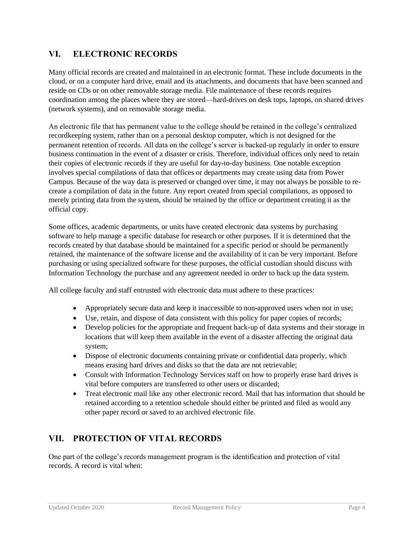### **VI. ELECTRONIC RECORDS**

Many official records are created and maintained in an electronic format. These include documents in the cloud, or on a computer hard drive, email and its attachments, and documents that have been scanned and reside on CDs or on other removable storage media. File maintenance of these records requires coordination among the places where they are stored—hard-drives on desk tops, laptops, on shared drives (network systems), and on removable storage media.

An electronic file that has permanent value to the college should be retained in the college's centralized recordkeeping system, rather than on a personal desktop computer, which is not designed for the permanent retention of records. All data on the college's server is backed-up regularly in order to ensure business continuation in the event of a disaster or crisis. Therefore, individual offices only need to retain their copies of electronic records if they are useful for day-to-day business. One notable exception involves special compilations of data that offices or departments may create using data from Power Campus. Because of the way data is preserved or changed over time, it may not always be possible to recreate a compilation of data in the future. Any report created from special compilations, as opposed to merely printing data from the system, should be retained by the office or department creating it as the official copy.

Some offices, academic departments, or units have created electronic data systems by purchasing software to help manage a specific database for research or other purposes. If it is determined that the records created by that database should be maintained for a specific period or should be permanently retained, the maintenance of the software license and the availability of it can be very important. Before purchasing or using specialized software for these purposes, the official custodian should discuss with Information Technology the purchase and any agreement needed in order to back up the data system.

All college faculty and staff entrusted with electronic data must adhere to these practices:

- Appropriately secure data and keep it inaccessible to non-approved users when not in use;
- Use, retain, and dispose of data consistent with this policy for paper copies of records;
- Develop policies for the appropriate and frequent back-up of data systems and their storage in locations that will keep them available in the event of a disaster affecting the original data system;
- Dispose of electronic documents containing private or confidential data properly, which means erasing hard drives and disks so that the data are not retrievable;
- Consult with Information Technology Services staff on how to properly erase hard drives is vital before computers are transferred to other users or discarded;
- Treat electronic mail like any other electronic record. Mail that has information that should be retained according to a retention schedule should either be printed and filed as would any other paper record or saved to an archived electronic file.

### **VII. PROTECTION OF VITAL RECORDS**

One part of the college's records management program is the identification and protection of vital records. A record is vital when: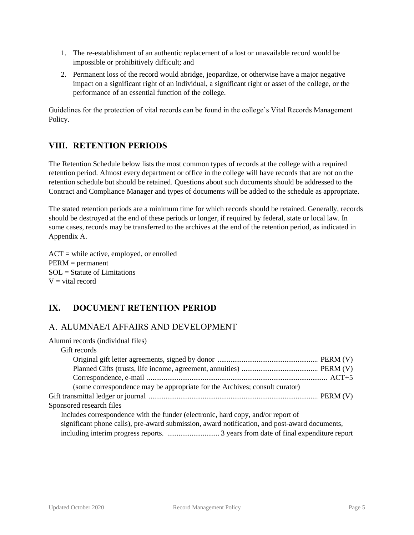- 1. The re-establishment of an authentic replacement of a lost or unavailable record would be impossible or prohibitively difficult; and
- 2. Permanent loss of the record would abridge, jeopardize, or otherwise have a major negative impact on a significant right of an individual, a significant right or asset of the college, or the performance of an essential function of the college.

Guidelines for the protection of vital records can be found in the college's Vital Records Management Policy.

### **VIII. RETENTION PERIODS**

The Retention Schedule below lists the most common types of records at the college with a required retention period. Almost every department or office in the college will have records that are not on the retention schedule but should be retained. Questions about such documents should be addressed to the Contract and Compliance Manager and types of documents will be added to the schedule as appropriate.

The stated retention periods are a minimum time for which records should be retained. Generally, records should be destroyed at the end of these periods or longer, if required by federal, state or local law. In some cases, records may be transferred to the archives at the end of the retention period, as indicated in Appendix A.

ACT = while active, employed, or enrolled PERM = permanent SOL = Statute of Limitations  $V =$  vital record

### **IX. DOCUMENT RETENTION PERIOD**

### ALUMNAE/I AFFAIRS AND DEVELOPMENT

| Alumni records (individual files)                                                             |  |
|-----------------------------------------------------------------------------------------------|--|
| Gift records                                                                                  |  |
|                                                                                               |  |
|                                                                                               |  |
|                                                                                               |  |
| (some correspondence may be appropriate for the Archives; consult curator)                    |  |
|                                                                                               |  |
| Sponsored research files                                                                      |  |
| Includes correspondence with the funder (electronic, hard copy, and/or report of              |  |
| significant phone calls), pre-award submission, award notification, and post-award documents, |  |
|                                                                                               |  |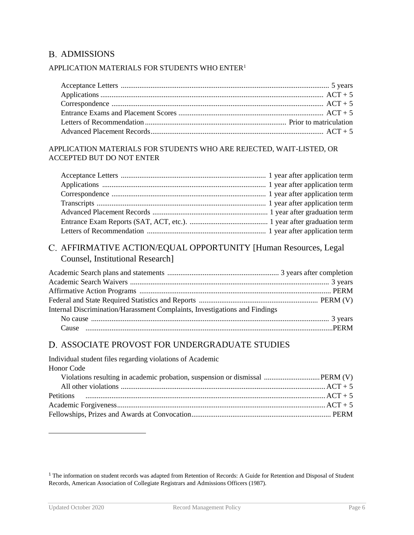### **B. ADMISSIONS**

#### APPLICATION MATERIALS FOR STUDENTS WHO ENTER<sup>1</sup>

#### APPLICATION MATERIALS FOR STUDENTS WHO ARE REJECTED, WAIT-LISTED, OR ACCEPTED BUT DO NOT ENTER

### AFFIRMATIVE ACTION/EQUAL OPPORTUNITY [Human Resources, Legal Counsel, Institutional Research]

| Internal Discrimination/Harassment Complaints, Investigations and Findings |  |
|----------------------------------------------------------------------------|--|
|                                                                            |  |
|                                                                            |  |

#### ASSOCIATE PROVOST FOR UNDERGRADUATE STUDIES

| Individual student files regarding violations of Academic |  |
|-----------------------------------------------------------|--|
| <b>Honor</b> Code                                         |  |
|                                                           |  |
|                                                           |  |
| Petitions $ACT + 5$                                       |  |
|                                                           |  |
|                                                           |  |
|                                                           |  |

<sup>&</sup>lt;sup>1</sup> The information on student records was adapted from Retention of Records: A Guide for Retention and Disposal of Student Records, American Association of Collegiate Registrars and Admissions Officers (1987).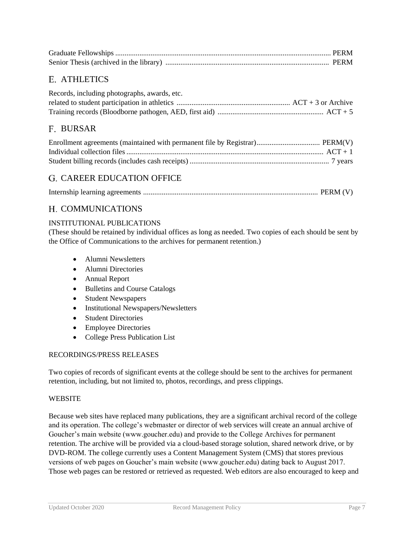### ATHLETICS

| Records, including photographs, awards, etc. |  |
|----------------------------------------------|--|
|                                              |  |
|                                              |  |

### F. BURSAR

#### G. CAREER EDUCATION OFFICE

|--|--|--|--|--|

#### H. COMMUNICATIONS

#### INSTITUTIONAL PUBLICATIONS

(These should be retained by individual offices as long as needed. Two copies of each should be sent by the Office of Communications to the archives for permanent retention.)

- Alumni Newsletters
- Alumni Directories
- Annual Report
- Bulletins and Course Catalogs
- Student Newspapers
- Institutional Newspapers/Newsletters
- Student Directories
- Employee Directories
- College Press Publication List

#### RECORDINGS/PRESS RELEASES

Two copies of records of significant events at the college should be sent to the archives for permanent retention, including, but not limited to, photos, recordings, and press clippings.

#### WEBSITE

Because web sites have replaced many publications, they are a significant archival record of the college and its operation. The college's webmaster or director of web services will create an annual archive of Goucher's main website (www.goucher.edu) and provide to the College Archives for permanent retention. The archive will be provided via a cloud-based storage solution, shared network drive, or by DVD-ROM. The college currently uses a Content Management System (CMS) that stores previous versions of web pages on Goucher's main website (www.goucher.edu) dating back to August 2017. Those web pages can be restored or retrieved as requested. Web editors are also encouraged to keep and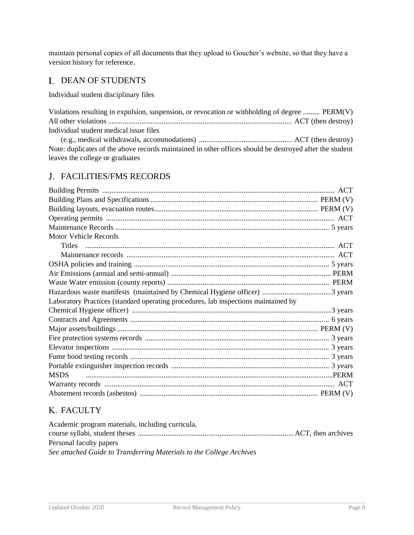maintain personal copies of all documents that they upload to Goucher's website, so that they have a version history for reference.

### I. DEAN OF STUDENTS

Individual student disciplinary files

| Violations resulting in expulsion, suspension, or revocation or withholding of degree  PERM(V)          |  |
|---------------------------------------------------------------------------------------------------------|--|
|                                                                                                         |  |
| Individual student medical issue files                                                                  |  |
|                                                                                                         |  |
| Note: duplicates of the above records maintained in other offices should be destroyed after the student |  |
| leaves the college or graduates                                                                         |  |

### FACILITIES/FMS RECORDS

| <b>Motor Vehicle Records</b>                                                       |  |
|------------------------------------------------------------------------------------|--|
|                                                                                    |  |
|                                                                                    |  |
|                                                                                    |  |
|                                                                                    |  |
|                                                                                    |  |
|                                                                                    |  |
| Laboratory Practices (standard operating procedures, lab inspections maintained by |  |
|                                                                                    |  |
|                                                                                    |  |
|                                                                                    |  |
|                                                                                    |  |
|                                                                                    |  |
|                                                                                    |  |
|                                                                                    |  |
| <b>MSDS</b>                                                                        |  |
|                                                                                    |  |
|                                                                                    |  |

### K. FACULTY

| Academic program materials, including curricula,                     |  |
|----------------------------------------------------------------------|--|
|                                                                      |  |
| Personal faculty papers                                              |  |
| See attached Guide to Transferring Materials to the College Archives |  |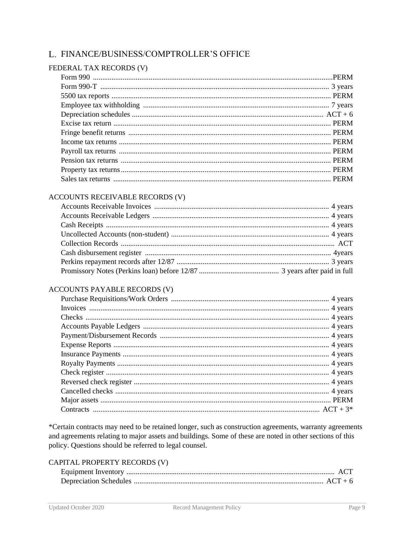### L. FINANCE/BUSINESS/COMPTROLLER'S OFFICE

#### FEDERAL TAX RECORDS (V)

#### **ACCOUNTS RECEIVABLE RECORDS (V)**

#### ACCOUNTS PAYABLE RECORDS (V)

\*Certain contracts may need to be retained longer, such as construction agreements, warranty agreements and agreements relating to major assets and buildings. Some of these are noted in other sections of this policy. Questions should be referred to legal counsel.

#### CAPITAL PROPERTY RECORDS (V)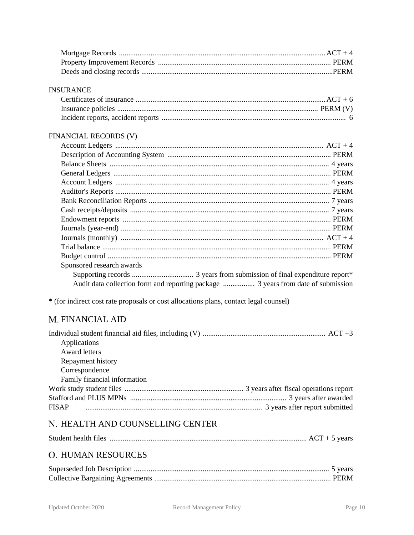#### **INSURANCE**

#### FINANCIAL RECORDS (V)

| Sponsored research awards |
|---------------------------|
|                           |
|                           |

\* (for indirect cost rate proposals or cost allocations plans, contact legal counsel)

### M. FINANCIAL AID

### N. HEALTH AND COUNSELLING CENTER

### **O. HUMAN RESOURCES**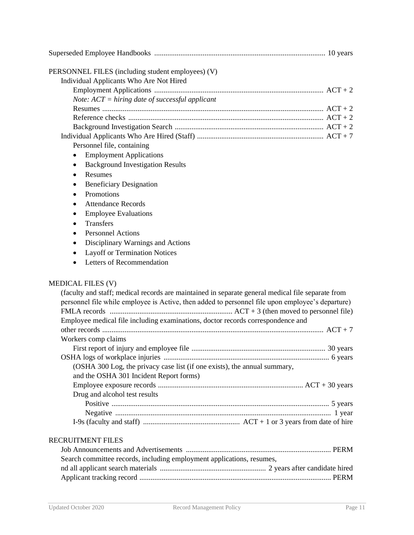| PERSONNEL FILES (including student employees) (V)                                                 |          |
|---------------------------------------------------------------------------------------------------|----------|
| Individual Applicants Who Are Not Hired                                                           |          |
|                                                                                                   |          |
| Note: $ACT = hiring$ date of successful applicant                                                 |          |
|                                                                                                   |          |
|                                                                                                   |          |
|                                                                                                   |          |
|                                                                                                   |          |
| Personnel file, containing                                                                        |          |
| <b>Employment Applications</b><br>$\bullet$                                                       |          |
| <b>Background Investigation Results</b><br>٠                                                      |          |
| Resumes<br>$\bullet$                                                                              |          |
| <b>Beneficiary Designation</b>                                                                    |          |
| Promotions<br>$\bullet$                                                                           |          |
| <b>Attendance Records</b>                                                                         |          |
| <b>Employee Evaluations</b>                                                                       |          |
| ٠                                                                                                 |          |
| Transfers<br>$\bullet$                                                                            |          |
| <b>Personnel Actions</b><br>$\bullet$                                                             |          |
| Disciplinary Warnings and Actions<br>٠                                                            |          |
| <b>Layoff or Termination Notices</b>                                                              |          |
| Letters of Recommendation                                                                         |          |
|                                                                                                   |          |
| <b>MEDICAL FILES (V)</b>                                                                          |          |
| (faculty and staff; medical records are maintained in separate general medical file separate from |          |
| personnel file while employee is Active, then added to personnel file upon employee's departure)  |          |
|                                                                                                   |          |
| Employee medical file including examinations, doctor records correspondence and                   |          |
|                                                                                                   |          |
| Workers comp claims                                                                               |          |
|                                                                                                   | 30 years |
|                                                                                                   |          |
| (OSHA 300 Log, the privacy case list (if one exists), the annual summary,                         |          |
| and the OSHA 301 Incident Report forms)                                                           |          |
|                                                                                                   |          |
| Drug and alcohol test results                                                                     |          |
|                                                                                                   |          |
|                                                                                                   |          |
|                                                                                                   |          |
| <b>RECRUITMENT FILES</b>                                                                          |          |
|                                                                                                   |          |
| Search committee records, including employment applications, resumes,                             |          |
|                                                                                                   |          |
|                                                                                                   |          |
|                                                                                                   |          |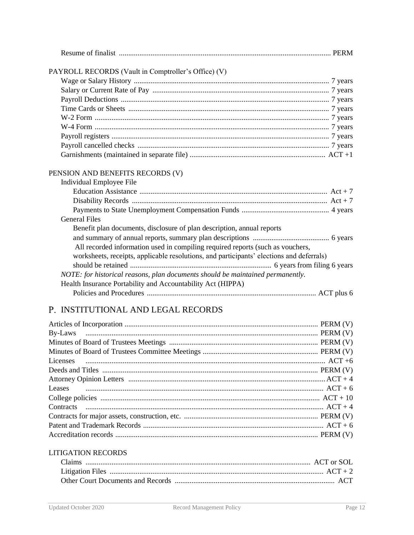| PAYROLL RECORDS (Vault in Comptroller's Office) (V)                                      |
|------------------------------------------------------------------------------------------|
|                                                                                          |
|                                                                                          |
|                                                                                          |
|                                                                                          |
|                                                                                          |
|                                                                                          |
|                                                                                          |
|                                                                                          |
|                                                                                          |
| PENSION AND BENEFITS RECORDS (V)<br>Individual Employee File                             |
|                                                                                          |
|                                                                                          |
|                                                                                          |
| <b>General Files</b>                                                                     |
| Benefit plan documents, disclosure of plan description, annual reports                   |
|                                                                                          |
| All recorded information used in compiling required reports (such as vouchers,           |
| worksheets, receipts, applicable resolutions, and participants' elections and deferrals) |
|                                                                                          |
| NOTE: for historical reasons, plan documents should be maintained permanently.           |
| Health Insurance Portability and Accountability Act (HIPPA)                              |
|                                                                                          |

### P. INSTITUTIONAL AND LEGAL RECORDS

### **LITIGATION RECORDS**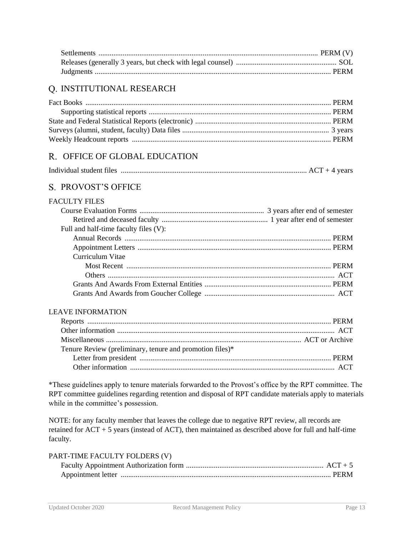### Q. INSTITUTIONAL RESEARCH

### OFFICE OF GLOBAL EDUCATION

| Individual student files |  |
|--------------------------|--|
|                          |  |

### S. PROVOST'S OFFICE

#### FACULTY FILES

| Full and half-time faculty files (V): |  |
|---------------------------------------|--|
|                                       |  |
|                                       |  |
| Curriculum Vitae                      |  |
|                                       |  |
|                                       |  |
|                                       |  |
|                                       |  |

#### LEAVE INFORMATION

| Tenure Review (preliminary, tenure and promotion files)* |  |
|----------------------------------------------------------|--|
|                                                          |  |
|                                                          |  |

\*These guidelines apply to tenure materials forwarded to the Provost's office by the RPT committee. The RPT committee guidelines regarding retention and disposal of RPT candidate materials apply to materials while in the committee's possession.

NOTE: for any faculty member that leaves the college due to negative RPT review, all records are retained for ACT + 5 years (instead of ACT), then maintained as described above for full and half-time faculty.

| PART-TIME FACULTY FOLDERS (V) |  |
|-------------------------------|--|
|                               |  |
|                               |  |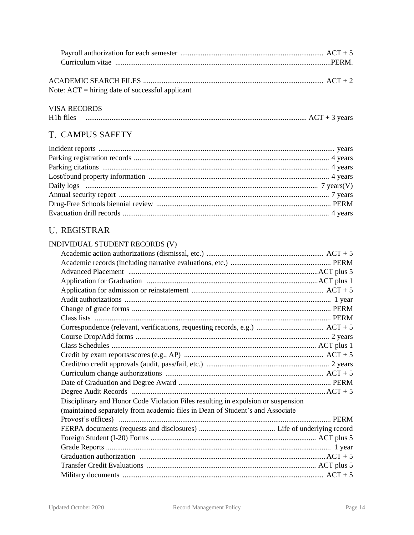| ACADEMIC SEARCH FILES $\ldots$ $\ldots$ $\ldots$ $\ldots$ $\ldots$ $\ldots$ $\ldots$ $\ldots$ $\ldots$ $\ldots$ $\ldots$ $\ldots$ $\ldots$ $\ldots$ $\ldots$ $\ldots$ $\ldots$ $\ldots$ $\ldots$ $\ldots$ $\ldots$ $\ldots$ $\ldots$ $\ldots$ $\ldots$ $\ldots$ $\ldots$ $\ldots$ $\ldots$ $\ldots$ $\ldots$ $\ldots$ $\ldots$ |  |
|--------------------------------------------------------------------------------------------------------------------------------------------------------------------------------------------------------------------------------------------------------------------------------------------------------------------------------|--|
| Note: $ACT = hiring$ date of successful applicant                                                                                                                                                                                                                                                                              |  |

#### **VISA RECORDS**

| H <sub>1</sub> b files | vears |
|------------------------|-------|
|                        |       |

### T. CAMPUS SAFETY

### **U. REGISTRAR**

| INDIVIDUAL STUDENT RECORDS (V)                                                   |  |
|----------------------------------------------------------------------------------|--|
|                                                                                  |  |
|                                                                                  |  |
|                                                                                  |  |
|                                                                                  |  |
|                                                                                  |  |
|                                                                                  |  |
|                                                                                  |  |
|                                                                                  |  |
|                                                                                  |  |
|                                                                                  |  |
|                                                                                  |  |
|                                                                                  |  |
|                                                                                  |  |
|                                                                                  |  |
|                                                                                  |  |
|                                                                                  |  |
|                                                                                  |  |
| Disciplinary and Honor Code Violation Files resulting in expulsion or suspension |  |
| (maintained separately from academic files in Dean of Student's and Associate    |  |
|                                                                                  |  |
|                                                                                  |  |
|                                                                                  |  |
|                                                                                  |  |
|                                                                                  |  |
|                                                                                  |  |
|                                                                                  |  |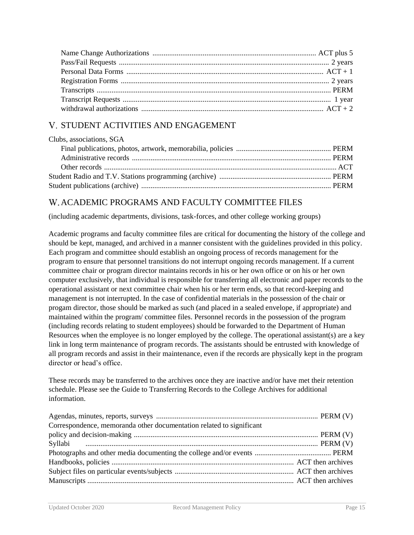### V. STUDENT ACTIVITIES AND ENGAGEMENT

| Clubs, associations, SGA |  |
|--------------------------|--|
|                          |  |
|                          |  |
|                          |  |
|                          |  |
|                          |  |

### ACADEMIC PROGRAMS AND FACULTY COMMITTEE FILES

(including academic departments, divisions, task-forces, and other college working groups)

Academic programs and faculty committee files are critical for documenting the history of the college and should be kept, managed, and archived in a manner consistent with the guidelines provided in this policy. Each program and committee should establish an ongoing process of records management for the program to ensure that personnel transitions do not interrupt ongoing records management. If a current committee chair or program director maintains records in his or her own office or on his or her own computer exclusively, that individual is responsible for transferring all electronic and paper records to the operational assistant or next committee chair when his or her term ends, so that record-keeping and management is not interrupted. In the case of confidential materials in the possession of the chair or progam director, those should be marked as such (and placed in a sealed envelope, if appropriate) and maintained within the program/ committee files. Personnel records in the possession of the program (including records relating to student employees) should be forwarded to the Department of Human Resources when the employee is no longer employed by the college. The operational assistant(s) are a key link in long term maintenance of program records. The assistants should be entrusted with knowledge of all program records and assist in their maintenance, even if the records are physically kept in the program director or head's office.

These records may be transferred to the archives once they are inactive and/or have met their retention schedule. Please see the Guide to Transferring Records to the College Archives for additional information.

| Correspondence, memoranda other documentation related to significant |  |
|----------------------------------------------------------------------|--|
|                                                                      |  |
|                                                                      |  |
|                                                                      |  |
|                                                                      |  |
|                                                                      |  |
|                                                                      |  |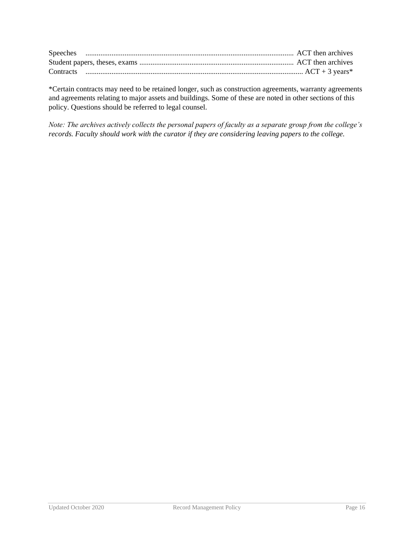\*Certain contracts may need to be retained longer, such as construction agreements, warranty agreements and agreements relating to major assets and buildings. Some of these are noted in other sections of this policy. Questions should be referred to legal counsel.

*Note: The archives actively collects the personal papers of faculty as a separate group from the college's records. Faculty should work with the curator if they are considering leaving papers to the college.*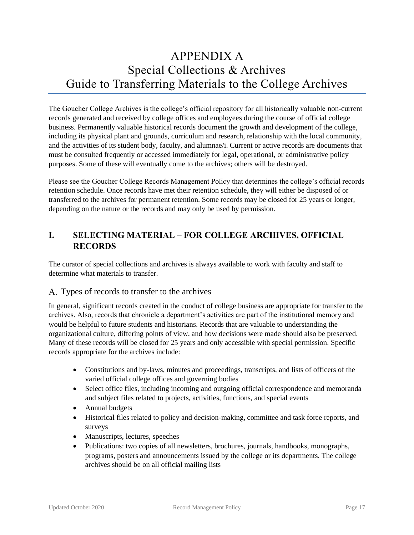## APPENDIX A Special Collections & Archives Guide to Transferring Materials to the College Archives

The Goucher College Archives is the college's official repository for all historically valuable non-current records generated and received by college offices and employees during the course of official college business. Permanently valuable historical records document the growth and development of the college, including its physical plant and grounds, curriculum and research, relationship with the local community, and the activities of its student body, faculty, and alumnae/i. Current or active records are documents that must be consulted frequently or accessed immediately for legal, operational, or administrative policy purposes. Some of these will eventually come to the archives; others will be destroyed.

Please see the Goucher College Records Management Policy that determines the college's official records retention schedule. Once records have met their retention schedule, they will either be disposed of or transferred to the archives for permanent retention. Some records may be closed for 25 years or longer, depending on the nature or the records and may only be used by permission.

### **I. SELECTING MATERIAL – FOR COLLEGE ARCHIVES, OFFICIAL RECORDS**

The curator of special collections and archives is always available to work with faculty and staff to determine what materials to transfer.

#### Types of records to transfer to the archives

In general, significant records created in the conduct of college business are appropriate for transfer to the archives. Also, records that chronicle a department's activities are part of the institutional memory and would be helpful to future students and historians. Records that are valuable to understanding the organizational culture, differing points of view, and how decisions were made should also be preserved. Many of these records will be closed for 25 years and only accessible with special permission. Specific records appropriate for the archives include:

- Constitutions and by-laws, minutes and proceedings, transcripts, and lists of officers of the varied official college offices and governing bodies
- Select office files, including incoming and outgoing official correspondence and memoranda and subject files related to projects, activities, functions, and special events
- Annual budgets
- Historical files related to policy and decision-making, committee and task force reports, and surveys
- Manuscripts, lectures, speeches
- Publications: two copies of all newsletters, brochures, journals, handbooks, monographs, programs, posters and announcements issued by the college or its departments. The college archives should be on all official mailing lists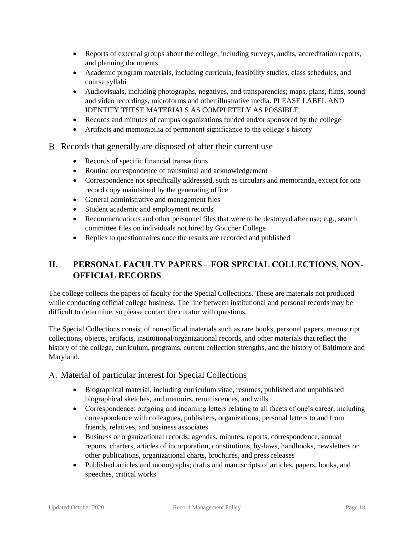- Reports of external groups about the college, including surveys, audits, accreditation reports, and planning documents
- Academic program materials, including curricula, feasibility studies, class schedules, and course syllabi
- Audiovisuals, including photographs, negatives, and transparencies; maps, plans, films, sound and video recordings, microforms and other illustrative media. PLEASE LABEL AND IDENTIFY THESE MATERIALS AS COMPLETELY AS POSSIBLE.
- Records and minutes of campus organizations funded and/or sponsored by the college
- Artifacts and memorabilia of permanent significance to the college's history
- B. Records that generally are disposed of after their current use
	- Records of specific financial transactions
	- Routine correspondence of transmittal and acknowledgement
	- Correspondence not specifically addressed, such as circulars and memoranda, except for one record copy maintained by the generating office
	- General administrative and management files
	- Student academic and employment records
	- Recommendations and other personnel files that were to be destroyed after use; e.g., search committee files on individuals not hired by Goucher College
	- Replies to questionnaires once the results are recorded and published

### **II. PERSONAL FACULTY PAPERS—FOR SPECIAL COLLECTIONS, NON-OFFICIAL RECORDS**

The college collects the papers of faculty for the Special Collections. These are materials not produced while conducting official college business. The line between institutional and personal records may be difficult to determine, so please contact the curator with questions.

The Special Collections consist of non-official materials such as rare books, personal papers, manuscript collections, objects, artifacts, institutional/organizational records, and other materials that reflect the history of the college, curriculum, programs, current collection strengths, and the history of Baltimore and Maryland.

A. Material of particular interest for Special Collections

- Biographical material, including curriculum vitae, resumes, published and unpublished biographical sketches, and memoirs, reminiscences, and wills
- Correspondence: outgoing and incoming letters relating to all facets of one's career, including correspondence with colleagues, publishers, organizations; personal letters to and from friends, relatives, and business associates
- Business or organizational records: agendas, minutes, reports, correspondence, annual reports, charters, articles of incorporation, constitutions, by-laws, handbooks, newsletters or other publications, organizational charts, brochures, and press releases
- Published articles and monographs; drafts and manuscripts of articles, papers, books, and speeches, critical works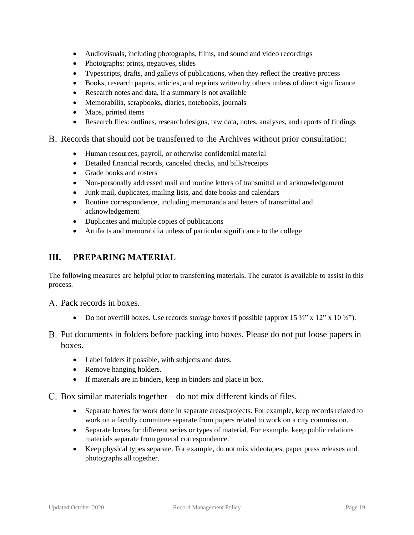- Audiovisuals, including photographs, films, and sound and video recordings
- Photographs: prints, negatives, slides
- Typescripts, drafts, and galleys of publications, when they reflect the creative process
- Books, research papers, articles, and reprints written by others unless of direct significance
- Research notes and data, if a summary is not available
- Memorabilia, scrapbooks, diaries, notebooks, journals
- Maps, printed items
- Research files: outlines, research designs, raw data, notes, analyses, and reports of findings

#### Records that should not be transferred to the Archives without prior consultation:

- Human resources, payroll, or otherwise confidential material
- Detailed financial records, canceled checks, and bills/receipts
- Grade books and rosters
- Non-personally addressed mail and routine letters of transmittal and acknowledgement
- Junk mail, duplicates, mailing lists, and date books and calendars
- Routine correspondence, including memoranda and letters of transmittal and acknowledgement
- Duplicates and multiple copies of publications
- Artifacts and memorabilia unless of particular significance to the college

#### **III. PREPARING MATERIAL**

The following measures are helpful prior to transferring materials. The curator is available to assist in this process.

- A. Pack records in boxes.
	- Do not overfill boxes. Use records storage boxes if possible (approx 15  $\frac{1}{2}$ " x 12" x 10  $\frac{1}{2}$ ").
- B. Put documents in folders before packing into boxes. Please do not put loose papers in boxes.
	- Label folders if possible, with subjects and dates.
	- Remove hanging holders.
	- If materials are in binders, keep in binders and place in box.
- C. Box similar materials together—do not mix different kinds of files.
	- Separate boxes for work done in separate areas/projects. For example, keep records related to work on a faculty committee separate from papers related to work on a city commission.
	- Separate boxes for different series or types of material. For example, keep public relations materials separate from general correspondence.
	- Keep physical types separate. For example, do not mix videotapes, paper press releases and photographs all together.